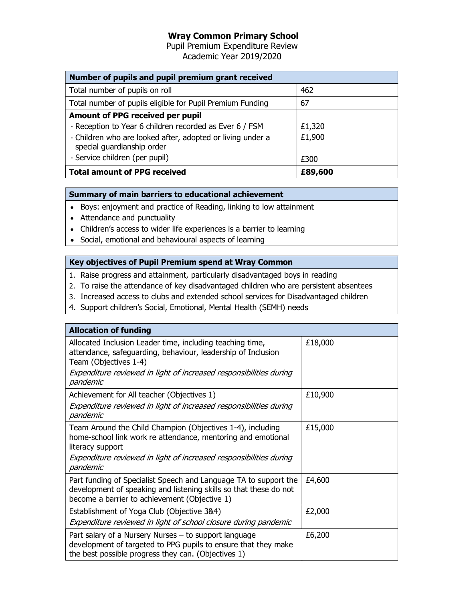# Wray Common Primary School

Pupil Premium Expenditure Review Academic Year 2019/2020

| Number of pupils and pupil premium grant received                                        |         |  |
|------------------------------------------------------------------------------------------|---------|--|
| Total number of pupils on roll                                                           | 462     |  |
| Total number of pupils eligible for Pupil Premium Funding                                | 67      |  |
| Amount of PPG received per pupil                                                         |         |  |
| - Reception to Year 6 children recorded as Ever 6 / FSM                                  | £1,320  |  |
| - Children who are looked after, adopted or living under a<br>special guardianship order | £1,900  |  |
| - Service children (per pupil)                                                           | £300    |  |
| <b>Total amount of PPG received</b>                                                      | £89,600 |  |

## Summary of main barriers to educational achievement

- Boys: enjoyment and practice of Reading, linking to low attainment
- Attendance and punctuality
- Children's access to wider life experiences is a barrier to learning
- Social, emotional and behavioural aspects of learning

## Key objectives of Pupil Premium spend at Wray Common

- 1. Raise progress and attainment, particularly disadvantaged boys in reading
- 2. To raise the attendance of key disadvantaged children who are persistent absentees
- 3. Increased access to clubs and extended school services for Disadvantaged children
- 4. Support children's Social, Emotional, Mental Health (SEMH) needs

| <b>Allocation of funding</b>                                                                                                                                                           |         |  |
|----------------------------------------------------------------------------------------------------------------------------------------------------------------------------------------|---------|--|
| Allocated Inclusion Leader time, including teaching time,<br>attendance, safeguarding, behaviour, leadership of Inclusion<br>Team (Objectives 1-4)                                     | £18,000 |  |
| Expenditure reviewed in light of increased responsibilities during<br>pandemic                                                                                                         |         |  |
| Achievement for All teacher (Objectives 1)                                                                                                                                             | £10,900 |  |
| Expenditure reviewed in light of increased responsibilities during<br>pandemic                                                                                                         |         |  |
| Team Around the Child Champion (Objectives 1-4), including<br>home-school link work re attendance, mentoring and emotional<br>literacy support                                         | £15,000 |  |
| Expenditure reviewed in light of increased responsibilities during<br>pandemic                                                                                                         |         |  |
| Part funding of Specialist Speech and Language TA to support the<br>development of speaking and listening skills so that these do not<br>become a barrier to achievement (Objective 1) | £4,600  |  |
| Establishment of Yoga Club (Objective 3&4)                                                                                                                                             | £2,000  |  |
| Expenditure reviewed in light of school closure during pandemic                                                                                                                        |         |  |
| Part salary of a Nursery Nurses – to support language<br>development of targeted to PPG pupils to ensure that they make<br>the best possible progress they can. (Objectives 1)         | £6,200  |  |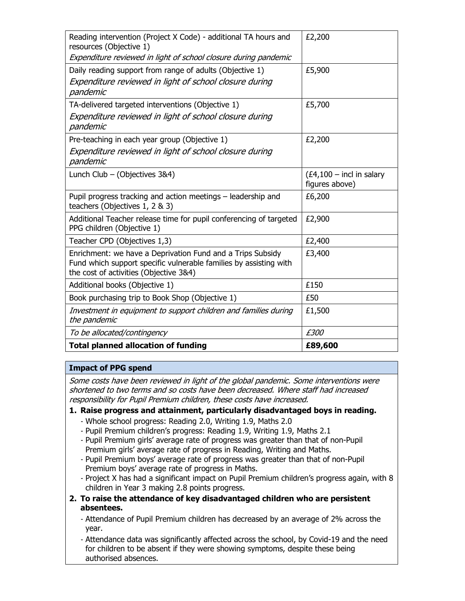| Reading intervention (Project X Code) - additional TA hours and<br>resources (Objective 1)                                                                                | £2,200                                        |
|---------------------------------------------------------------------------------------------------------------------------------------------------------------------------|-----------------------------------------------|
| Expenditure reviewed in light of school closure during pandemic                                                                                                           |                                               |
| Daily reading support from range of adults (Objective 1)                                                                                                                  | £5,900                                        |
| Expenditure reviewed in light of school closure during<br>pandemic                                                                                                        |                                               |
| TA-delivered targeted interventions (Objective 1)                                                                                                                         | £5,700                                        |
| Expenditure reviewed in light of school closure during<br>pandemic                                                                                                        |                                               |
| Pre-teaching in each year group (Objective 1)                                                                                                                             | £2,200                                        |
| Expenditure reviewed in light of school closure during<br>pandemic                                                                                                        |                                               |
| Lunch Club - (Objectives 3&4)                                                                                                                                             | $(E4, 100 - incl$ in salary<br>figures above) |
| Pupil progress tracking and action meetings - leadership and<br>teachers (Objectives 1, 2 & 3)                                                                            | £6,200                                        |
| Additional Teacher release time for pupil conferencing of targeted<br>PPG children (Objective 1)                                                                          | £2,900                                        |
| Teacher CPD (Objectives 1,3)                                                                                                                                              | £2,400                                        |
| Enrichment: we have a Deprivation Fund and a Trips Subsidy<br>Fund which support specific vulnerable families by assisting with<br>the cost of activities (Objective 3&4) | £3,400                                        |
| Additional books (Objective 1)                                                                                                                                            | £150                                          |
| Book purchasing trip to Book Shop (Objective 1)                                                                                                                           | £50                                           |
| Investment in equipment to support children and families during<br>the pandemic                                                                                           | £1,500                                        |
| To be allocated/contingency                                                                                                                                               | £300                                          |
| <b>Total planned allocation of funding</b>                                                                                                                                | £89,600                                       |

#### Impact of PPG spend

Some costs have been reviewed in light of the global pandemic. Some interventions were shortened to two terms and so costs have been decreased. Where staff had increased responsibility for Pupil Premium children, these costs have increased.

#### 1. Raise progress and attainment, particularly disadvantaged boys in reading.

- Whole school progress: Reading 2.0, Writing 1.9, Maths 2.0
- Pupil Premium children's progress: Reading 1.9, Writing 1.9, Maths 2.1
- Pupil Premium girls' average rate of progress was greater than that of non-Pupil Premium girls' average rate of progress in Reading, Writing and Maths.
- Pupil Premium boys' average rate of progress was greater than that of non-Pupil Premium boys' average rate of progress in Maths.
- Project X has had a significant impact on Pupil Premium children's progress again, with 8 children in Year 3 making 2.8 points progress.
- 2. To raise the attendance of key disadvantaged children who are persistent absentees.
	- Attendance of Pupil Premium children has decreased by an average of 2% across the year.
	- Attendance data was significantly affected across the school, by Covid-19 and the need for children to be absent if they were showing symptoms, despite these being authorised absences.